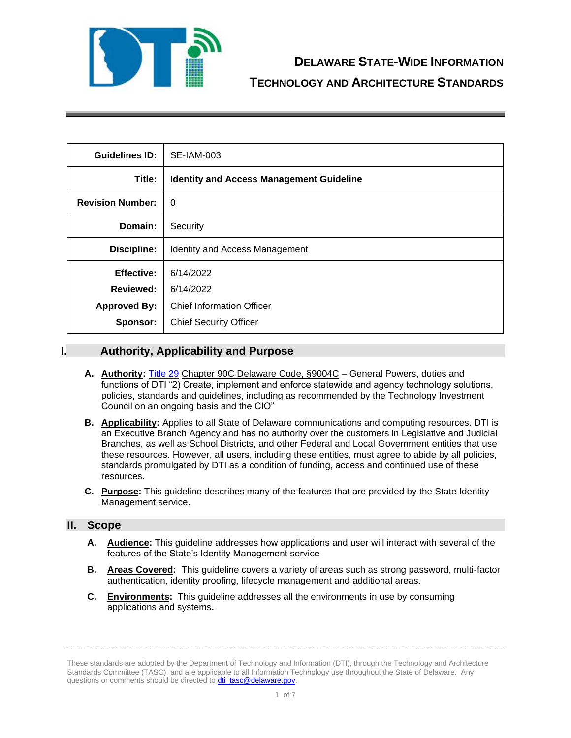

| <b>Guidelines ID:</b>   | SE-IAM-003                                      |  |
|-------------------------|-------------------------------------------------|--|
| Title:                  | <b>Identity and Access Management Guideline</b> |  |
| <b>Revision Number:</b> | $\Omega$                                        |  |
| Domain:                 | Security                                        |  |
| Discipline:             | Identity and Access Management                  |  |
| <b>Effective:</b>       | 6/14/2022                                       |  |
| Reviewed:               | 6/14/2022                                       |  |
| <b>Approved By:</b>     | <b>Chief Information Officer</b>                |  |
| Sponsor:                | <b>Chief Security Officer</b>                   |  |

## **I. Authority, Applicability and Purpose**

- **A. Authority:** [Title 29](https://delcode.delaware.gov/title29/c090c/sc01/index.shtml) Chapter 90C Delaware Code, §9004C General Powers, duties and functions of DTI "2) Create, implement and enforce statewide and agency technology solutions, policies, standards and guidelines, including as recommended by the Technology Investment Council on an ongoing basis and the CIO"
- **B. Applicability:** Applies to all State of Delaware communications and computing resources. DTI is an Executive Branch Agency and has no authority over the customers in Legislative and Judicial Branches, as well as School Districts, and other Federal and Local Government entities that use these resources. However, all users, including these entities, must agree to abide by all policies, standards promulgated by DTI as a condition of funding, access and continued use of these resources.
- **C. Purpose:** This guideline describes many of the features that are provided by the State Identity Management service.

### **II. Scope**

- **A. Audience:** This guideline addresses how applications and user will interact with several of the features of the State's Identity Management service
- **B. Areas Covered:** This guideline covers a variety of areas such as strong password, multi-factor authentication, identity proofing, lifecycle management and additional areas.
- **C. Environments:** This guideline addresses all the environments in use by consuming applications and systems**.**

These standards are adopted by the Department of Technology and Information (DTI), through the Technology and Architecture Standards Committee (TASC), and are applicable to all Information Technology use throughout the State of Delaware. Any questions or comments should be directed to **dti\_tasc@delaware.gov**.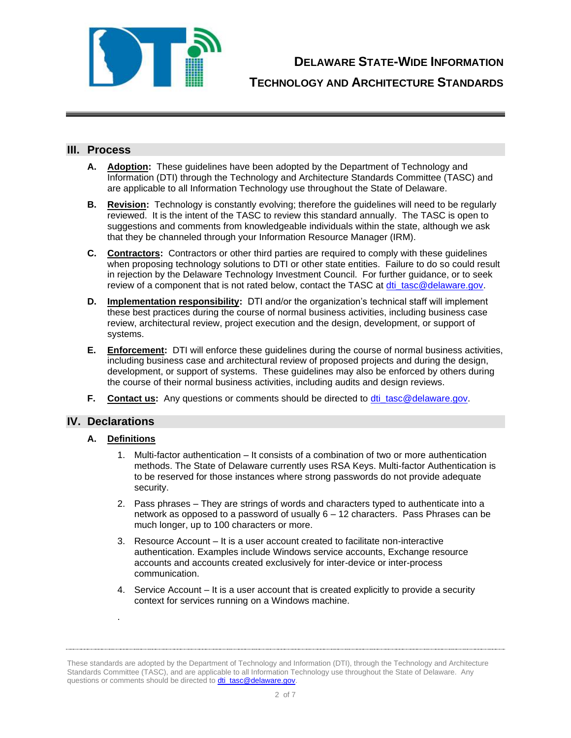

**DELAWARE STATE-WIDE INFORMATION**

**TECHNOLOGY AND ARCHITECTURE STANDARDS**

### **III. Process**

- **A. Adoption:** These guidelines have been adopted by the Department of Technology and Information (DTI) through the Technology and Architecture Standards Committee (TASC) and are applicable to all Information Technology use throughout the State of Delaware.
- **B. Revision:** Technology is constantly evolving; therefore the guidelines will need to be regularly reviewed. It is the intent of the TASC to review this standard annually. The TASC is open to suggestions and comments from knowledgeable individuals within the state, although we ask that they be channeled through your Information Resource Manager (IRM).
- **C. Contractors:** Contractors or other third parties are required to comply with these guidelines when proposing technology solutions to DTI or other state entities. Failure to do so could result in rejection by the Delaware Technology Investment Council. For further guidance, or to seek review of a component that is not rated below, contact the TASC at [dti\\_tasc@delaware.gov.](mailto:dti_tasc@delaware.gov)
- **D. Implementation responsibility:** DTI and/or the organization's technical staff will implement these best practices during the course of normal business activities, including business case review, architectural review, project execution and the design, development, or support of systems.
- **E. Enforcement:** DTI will enforce these guidelines during the course of normal business activities, including business case and architectural review of proposed projects and during the design, development, or support of systems. These guidelines may also be enforced by others during the course of their normal business activities, including audits and design reviews.
- **F. Contact us:** Any questions or comments should be directed to [dti\\_tasc@delaware.gov.](mailto:dti_tasc@delaware.gov)

### **IV. Declarations**

#### **A. Definitions**

.

- 1. Multi-factor authentication It consists of a combination of two or more authentication methods. The State of Delaware currently uses RSA Keys. Multi-factor Authentication is to be reserved for those instances where strong passwords do not provide adequate security.
- 2. Pass phrases They are strings of words and characters typed to authenticate into a network as opposed to a password of usually 6 – 12 characters. Pass Phrases can be much longer, up to 100 characters or more.
- 3. Resource Account It is a user account created to facilitate non-interactive authentication. Examples include Windows service accounts, Exchange resource accounts and accounts created exclusively for inter-device or inter-process communication.
- 4. Service Account It is a user account that is created explicitly to provide a security context for services running on a Windows machine.

These standards are adopted by the Department of Technology and Information (DTI), through the Technology and Architecture Standards Committee (TASC), and are applicable to all Information Technology use throughout the State of Delaware. Any questions or comments should be directed to **dti\_tasc@delaware.gov**.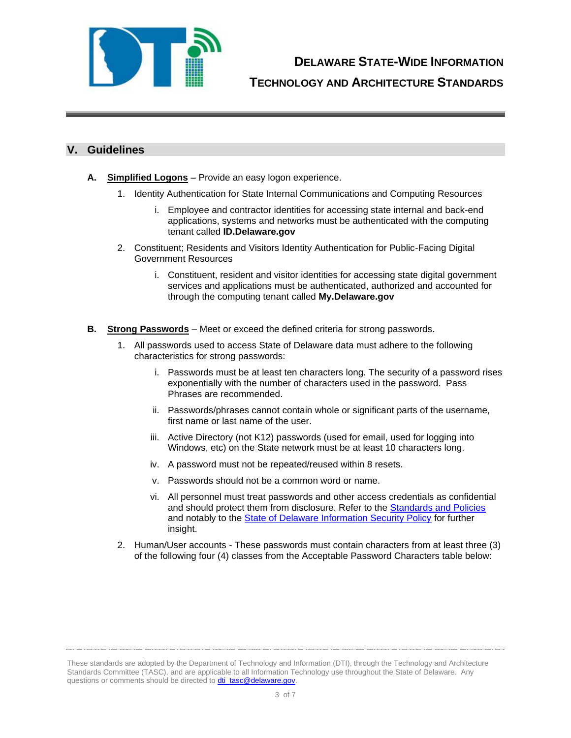

## **V. Guidelines**

- **A. Simplified Logons** Provide an easy logon experience.
	- 1. Identity Authentication for State Internal Communications and Computing Resources
		- i. Employee and contractor identities for accessing state internal and back-end applications, systems and networks must be authenticated with the computing tenant called **ID.Delaware.gov**
	- 2. Constituent; Residents and Visitors Identity Authentication for Public-Facing Digital Government Resources
		- i. Constituent, resident and visitor identities for accessing state digital government services and applications must be authenticated, authorized and accounted for through the computing tenant called **My.Delaware.gov**
- **B. Strong Passwords** Meet or exceed the defined criteria for strong passwords.
	- 1. All passwords used to access State of Delaware data must adhere to the following characteristics for strong passwords:
		- i. Passwords must be at least ten characters long. The security of a password rises exponentially with the number of characters used in the password. Pass Phrases are recommended.
		- ii. Passwords/phrases cannot contain whole or significant parts of the username, first name or last name of the user.
		- iii. Active Directory (not K12) passwords (used for email, used for logging into Windows, etc) on the State network must be at least 10 characters long.
		- iv. A password must not be repeated/reused within 8 resets.
		- v. Passwords should not be a common word or name.
		- vi. All personnel must treat passwords and other access credentials as confidential and should protect them from disclosure. Refer to the **Standards and Policies** and notably to the [State of Delaware Information Security Policy](https://webfiles.dti.delaware.gov/pdfs/pp/DelawareInformationSecurityPolicy.pdf) for further insight.
	- 2. Human/User accounts These passwords must contain characters from at least three (3) of the following four (4) classes from the Acceptable Password Characters table below:

These standards are adopted by the Department of Technology and Information (DTI), through the Technology and Architecture Standards Committee (TASC), and are applicable to all Information Technology use throughout the State of Delaware. Any questions or comments should be directed to **dti\_tasc@delaware.gov**.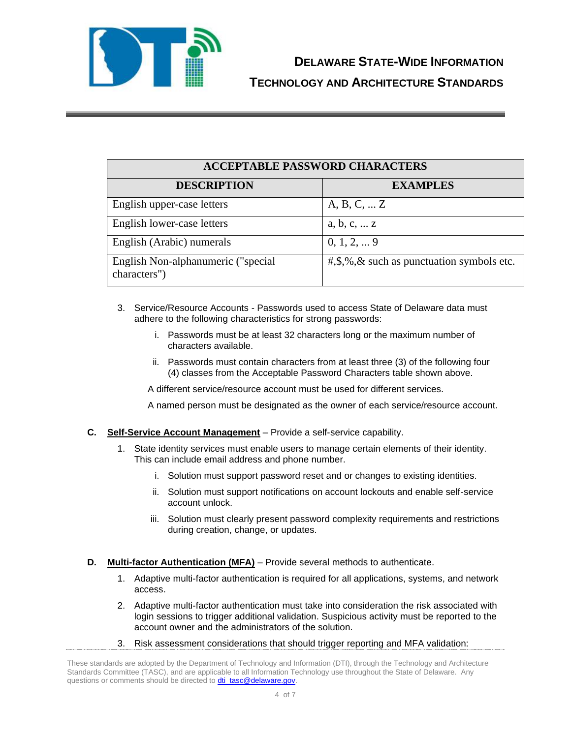

| <b>ACCEPTABLE PASSWORD CHARACTERS</b>              |                                                                                                   |  |  |
|----------------------------------------------------|---------------------------------------------------------------------------------------------------|--|--|
| <b>DESCRIPTION</b>                                 | <b>EXAMPLES</b>                                                                                   |  |  |
| English upper-case letters                         | A, B, C,  Z                                                                                       |  |  |
| English lower-case letters                         | a, b, c,  z                                                                                       |  |  |
| English (Arabic) numerals                          | $0, 1, 2, \ldots 9$                                                                               |  |  |
| English Non-alphanumeric ("special<br>characters") | $\text{#},\text{$_{\circ}$},\text{$_{\circ}$},\text{$_{\circ}$}$ such as punctuation symbols etc. |  |  |

- 3. Service/Resource Accounts Passwords used to access State of Delaware data must adhere to the following characteristics for strong passwords:
	- i. Passwords must be at least 32 characters long or the maximum number of characters available.
	- ii. Passwords must contain characters from at least three (3) of the following four (4) classes from the Acceptable Password Characters table shown above.

A different service/resource account must be used for different services.

A named person must be designated as the owner of each service/resource account.

- **C. Self-Service Account Management** Provide a self-service capability.
	- 1. State identity services must enable users to manage certain elements of their identity. This can include email address and phone number.
		- i. Solution must support password reset and or changes to existing identities.
		- ii. Solution must support notifications on account lockouts and enable self-service account unlock.
		- iii. Solution must clearly present password complexity requirements and restrictions during creation, change, or updates.
- **D. Multi-factor Authentication (MFA)** Provide several methods to authenticate.
	- 1. Adaptive multi-factor authentication is required for all applications, systems, and network access.
	- 2. Adaptive multi-factor authentication must take into consideration the risk associated with login sessions to trigger additional validation. Suspicious activity must be reported to the account owner and the administrators of the solution.
	- 3. Risk assessment considerations that should trigger reporting and MFA validation:

These standards are adopted by the Department of Technology and Information (DTI), through the Technology and Architecture Standards Committee (TASC), and are applicable to all Information Technology use throughout the State of Delaware. Any questions or comments should be directed to **dti\_tasc@delaware.gov**.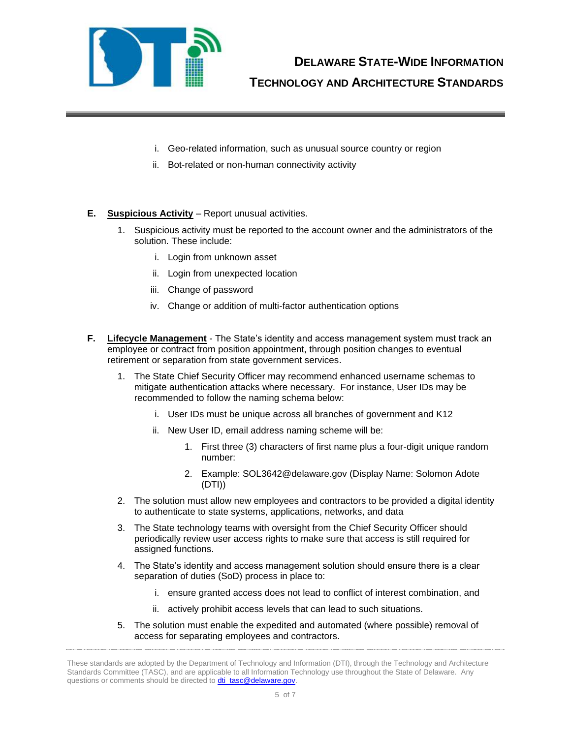

**TECHNOLOGY AND ARCHITECTURE STANDARDS**

- i. Geo-related information, such as unusual source country or region
- ii. Bot-related or non-human connectivity activity
- **E. Suspicious Activity** Report unusual activities.
	- 1. Suspicious activity must be reported to the account owner and the administrators of the solution. These include:
		- i. Login from unknown asset
		- ii. Login from unexpected location
		- iii. Change of password
		- iv. Change or addition of multi-factor authentication options
- **F. Lifecycle Management** The State's identity and access management system must track an employee or contract from position appointment, through position changes to eventual retirement or separation from state government services.
	- 1. The State Chief Security Officer may recommend enhanced username schemas to mitigate authentication attacks where necessary. For instance, User IDs may be recommended to follow the naming schema below:
		- i. User IDs must be unique across all branches of government and K12
		- ii. New User ID, email address naming scheme will be:
			- 1. First three (3) characters of first name plus a four-digit unique random number:
			- 2. Example: SOL3642@delaware.gov (Display Name: Solomon Adote (DTI))
	- 2. The solution must allow new employees and contractors to be provided a digital identity to authenticate to state systems, applications, networks, and data
	- 3. The State technology teams with oversight from the Chief Security Officer should periodically review user access rights to make sure that access is still required for assigned functions.
	- 4. The State's identity and access management solution should ensure there is a clear separation of duties (SoD) process in place to:
		- i. ensure granted access does not lead to conflict of interest combination, and
		- ii. actively prohibit access levels that can lead to such situations.
	- 5. The solution must enable the expedited and automated (where possible) removal of access for separating employees and contractors.

These standards are adopted by the Department of Technology and Information (DTI), through the Technology and Architecture Standards Committee (TASC), and are applicable to all Information Technology use throughout the State of Delaware. Any questions or comments should be directed to **dti\_tasc@delaware.gov**.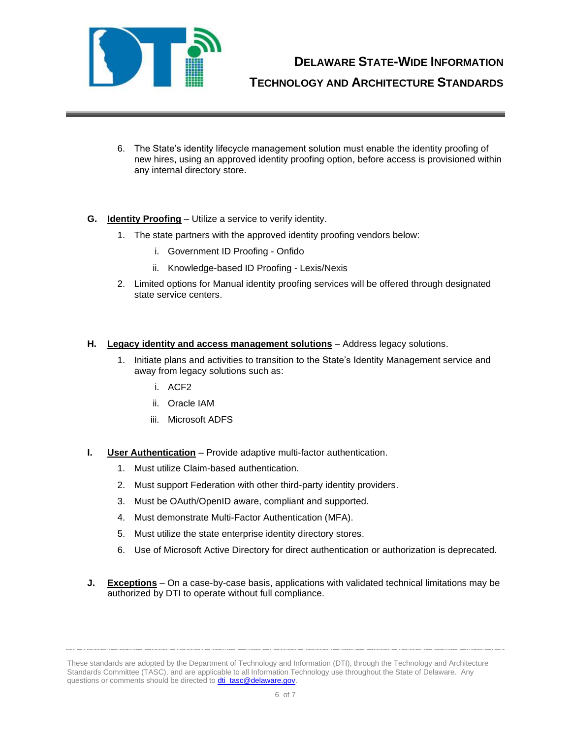

**DELAWARE STATE-WIDE INFORMATION**

**TECHNOLOGY AND ARCHITECTURE STANDARDS**

- 6. The State's identity lifecycle management solution must enable the identity proofing of new hires, using an approved identity proofing option, before access is provisioned within any internal directory store.
- **G. Identity Proofing** Utilize a service to verify identity.
	- 1. The state partners with the approved identity proofing vendors below:
		- i. Government ID Proofing Onfido
		- ii. Knowledge-based ID Proofing Lexis/Nexis
	- 2. Limited options for Manual identity proofing services will be offered through designated state service centers.
- **H. Legacy identity and access management solutions** Address legacy solutions.
	- 1. Initiate plans and activities to transition to the State's Identity Management service and away from legacy solutions such as:
		- i. ACF2
		- ii. Oracle IAM
		- iii. Microsoft ADFS
- **I. User Authentication** Provide adaptive multi-factor authentication.
	- 1. Must utilize Claim-based authentication.
	- 2. Must support Federation with other third-party identity providers.
	- 3. Must be OAuth/OpenID aware, compliant and supported.
	- 4. Must demonstrate Multi-Factor Authentication (MFA).
	- 5. Must utilize the state enterprise identity directory stores.
	- 6. Use of Microsoft Active Directory for direct authentication or authorization is deprecated.
- **J. Exceptions** On a case-by-case basis, applications with validated technical limitations may be authorized by DTI to operate without full compliance.

These standards are adopted by the Department of Technology and Information (DTI), through the Technology and Architecture Standards Committee (TASC), and are applicable to all Information Technology use throughout the State of Delaware. Any questions or comments should be directed to **dti\_tasc@delaware.gov**.